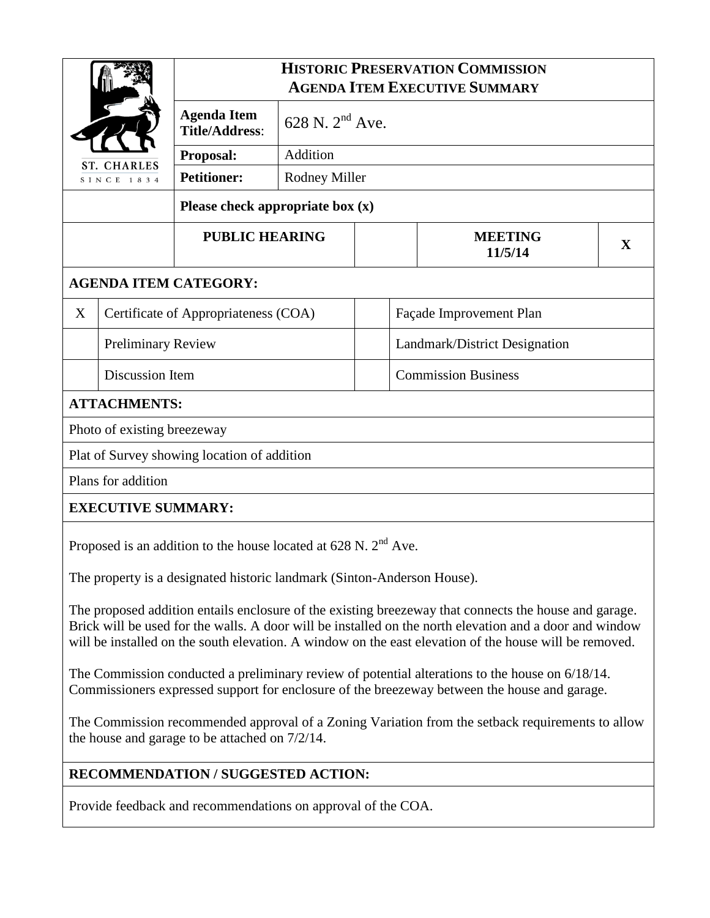|                                                                                                                                                                                                                                                                                                                            |                                      | <b>HISTORIC PRESERVATION COMMISSION</b><br><b>AGENDA ITEM EXECUTIVE SUMMARY</b> |                      |  |                            |                               |   |  |
|----------------------------------------------------------------------------------------------------------------------------------------------------------------------------------------------------------------------------------------------------------------------------------------------------------------------------|--------------------------------------|---------------------------------------------------------------------------------|----------------------|--|----------------------------|-------------------------------|---|--|
|                                                                                                                                                                                                                                                                                                                            |                                      | <b>Agenda Item</b><br><b>Title/Address:</b>                                     | 628 N. $2^{nd}$ Ave. |  |                            |                               |   |  |
|                                                                                                                                                                                                                                                                                                                            |                                      | Proposal:                                                                       | Addition             |  |                            |                               |   |  |
| <b>CHARLES</b><br>SINCE 1834                                                                                                                                                                                                                                                                                               |                                      | <b>Petitioner:</b>                                                              | <b>Rodney Miller</b> |  |                            |                               |   |  |
|                                                                                                                                                                                                                                                                                                                            |                                      | Please check appropriate box $(x)$                                              |                      |  |                            |                               |   |  |
|                                                                                                                                                                                                                                                                                                                            |                                      | <b>PUBLIC HEARING</b>                                                           |                      |  |                            | <b>MEETING</b><br>11/5/14     | X |  |
| <b>AGENDA ITEM CATEGORY:</b>                                                                                                                                                                                                                                                                                               |                                      |                                                                                 |                      |  |                            |                               |   |  |
| X                                                                                                                                                                                                                                                                                                                          | Certificate of Appropriateness (COA) |                                                                                 |                      |  |                            | Façade Improvement Plan       |   |  |
|                                                                                                                                                                                                                                                                                                                            | <b>Preliminary Review</b>            |                                                                                 |                      |  |                            | Landmark/District Designation |   |  |
| Discussion Item                                                                                                                                                                                                                                                                                                            |                                      |                                                                                 |                      |  | <b>Commission Business</b> |                               |   |  |
| <b>ATTACHMENTS:</b>                                                                                                                                                                                                                                                                                                        |                                      |                                                                                 |                      |  |                            |                               |   |  |
| Photo of existing breezeway                                                                                                                                                                                                                                                                                                |                                      |                                                                                 |                      |  |                            |                               |   |  |
| Plat of Survey showing location of addition                                                                                                                                                                                                                                                                                |                                      |                                                                                 |                      |  |                            |                               |   |  |
| Plans for addition                                                                                                                                                                                                                                                                                                         |                                      |                                                                                 |                      |  |                            |                               |   |  |
| <b>EXECUTIVE SUMMARY:</b>                                                                                                                                                                                                                                                                                                  |                                      |                                                                                 |                      |  |                            |                               |   |  |
| Proposed is an addition to the house located at 628 N. $2nd$ Ave.                                                                                                                                                                                                                                                          |                                      |                                                                                 |                      |  |                            |                               |   |  |
| The property is a designated historic landmark (Sinton-Anderson House).                                                                                                                                                                                                                                                    |                                      |                                                                                 |                      |  |                            |                               |   |  |
| The proposed addition entails enclosure of the existing breezeway that connects the house and garage.<br>Brick will be used for the walls. A door will be installed on the north elevation and a door and window<br>will be installed on the south elevation. A window on the east elevation of the house will be removed. |                                      |                                                                                 |                      |  |                            |                               |   |  |
| The Commission conducted a preliminary review of potential alterations to the house on 6/18/14.<br>Commissioners expressed support for enclosure of the breezeway between the house and garage.                                                                                                                            |                                      |                                                                                 |                      |  |                            |                               |   |  |
| The Commission recommended approval of a Zoning Variation from the setback requirements to allow<br>the house and garage to be attached on $7/2/14$ .                                                                                                                                                                      |                                      |                                                                                 |                      |  |                            |                               |   |  |
| RECOMMENDATION / SUGGESTED ACTION:                                                                                                                                                                                                                                                                                         |                                      |                                                                                 |                      |  |                            |                               |   |  |

Provide feedback and recommendations on approval of the COA.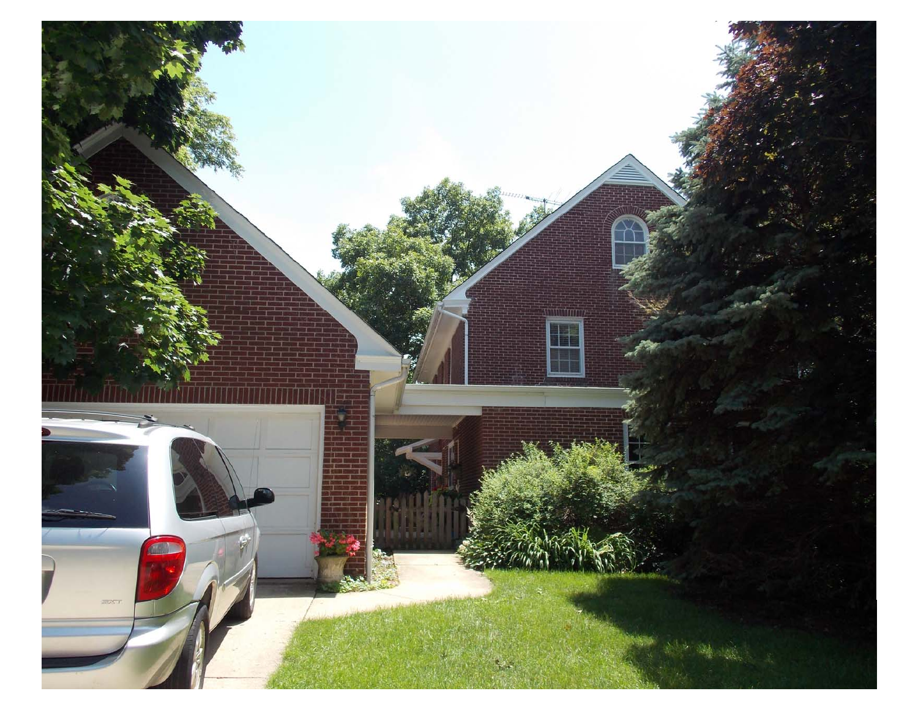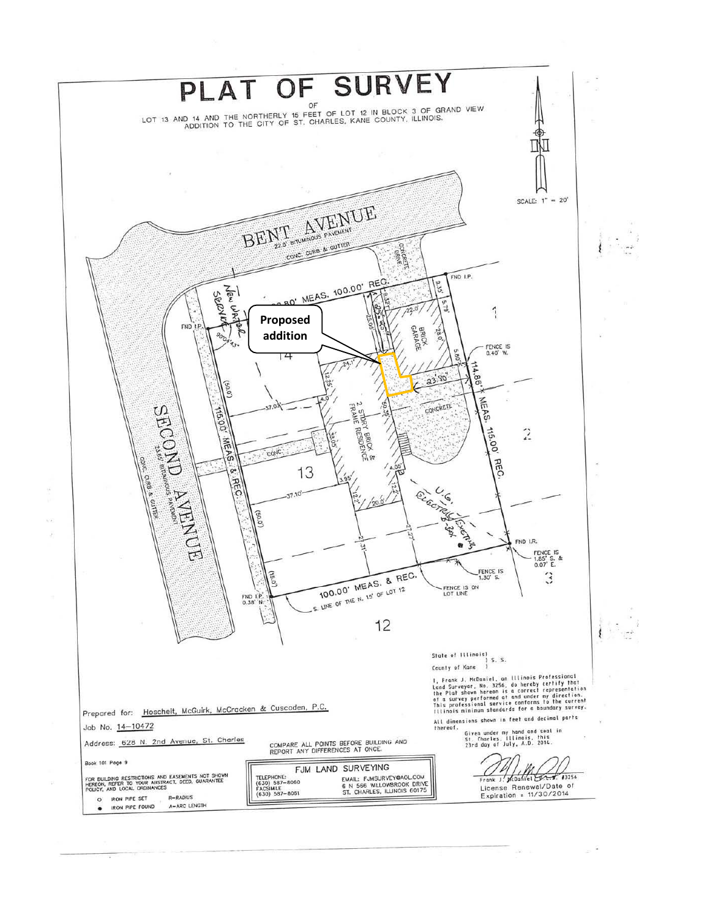